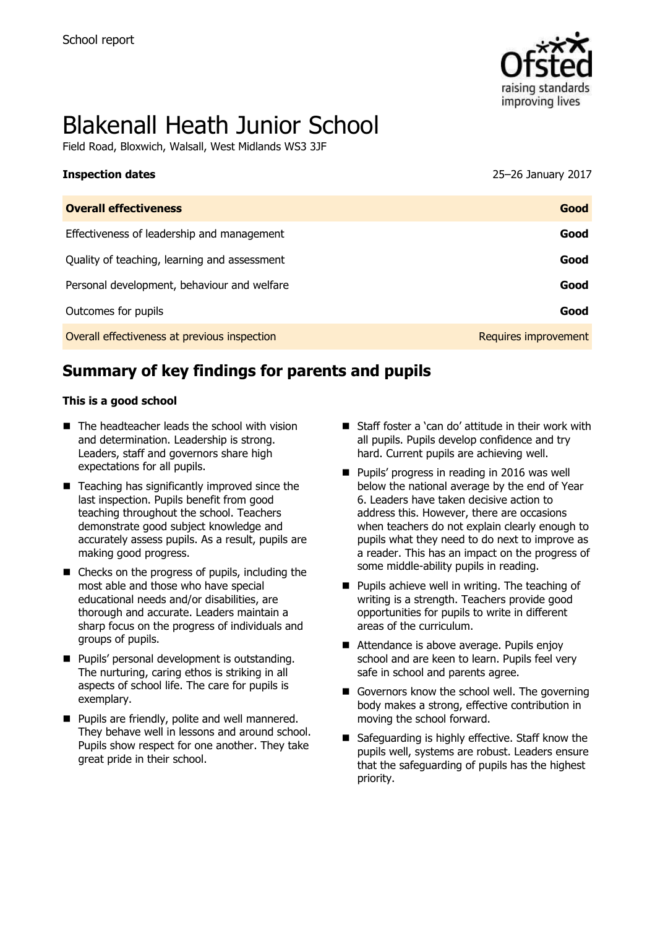

# Blakenall Heath Junior School

Field Road, Bloxwich, Walsall, West Midlands WS3 3JF

| <b>Inspection dates</b> | 25-26 January 2017 |
|-------------------------|--------------------|
|                         |                    |

| <b>Overall effectiveness</b>                 | Good                 |
|----------------------------------------------|----------------------|
| Effectiveness of leadership and management   | Good                 |
| Quality of teaching, learning and assessment | Good                 |
| Personal development, behaviour and welfare  | Good                 |
| Outcomes for pupils                          | Good                 |
| Overall effectiveness at previous inspection | Requires improvement |

# **Summary of key findings for parents and pupils**

#### **This is a good school**

- $\blacksquare$  The headteacher leads the school with vision and determination. Leadership is strong. Leaders, staff and governors share high expectations for all pupils.
- $\blacksquare$  Teaching has significantly improved since the last inspection. Pupils benefit from good teaching throughout the school. Teachers demonstrate good subject knowledge and accurately assess pupils. As a result, pupils are making good progress.
- Checks on the progress of pupils, including the most able and those who have special educational needs and/or disabilities, are thorough and accurate. Leaders maintain a sharp focus on the progress of individuals and groups of pupils.
- **Pupils' personal development is outstanding.** The nurturing, caring ethos is striking in all aspects of school life. The care for pupils is exemplary.
- **Pupils are friendly, polite and well mannered.** They behave well in lessons and around school. Pupils show respect for one another. They take great pride in their school.
- Staff foster a 'can do' attitude in their work with all pupils. Pupils develop confidence and try hard. Current pupils are achieving well.
- Pupils' progress in reading in 2016 was well below the national average by the end of Year 6. Leaders have taken decisive action to address this. However, there are occasions when teachers do not explain clearly enough to pupils what they need to do next to improve as a reader. This has an impact on the progress of some middle-ability pupils in reading.
- $\blacksquare$  Pupils achieve well in writing. The teaching of writing is a strength. Teachers provide good opportunities for pupils to write in different areas of the curriculum.
- Attendance is above average. Pupils enjoy school and are keen to learn. Pupils feel very safe in school and parents agree.
- Governors know the school well. The governing body makes a strong, effective contribution in moving the school forward.
- Safeguarding is highly effective. Staff know the pupils well, systems are robust. Leaders ensure that the safeguarding of pupils has the highest priority.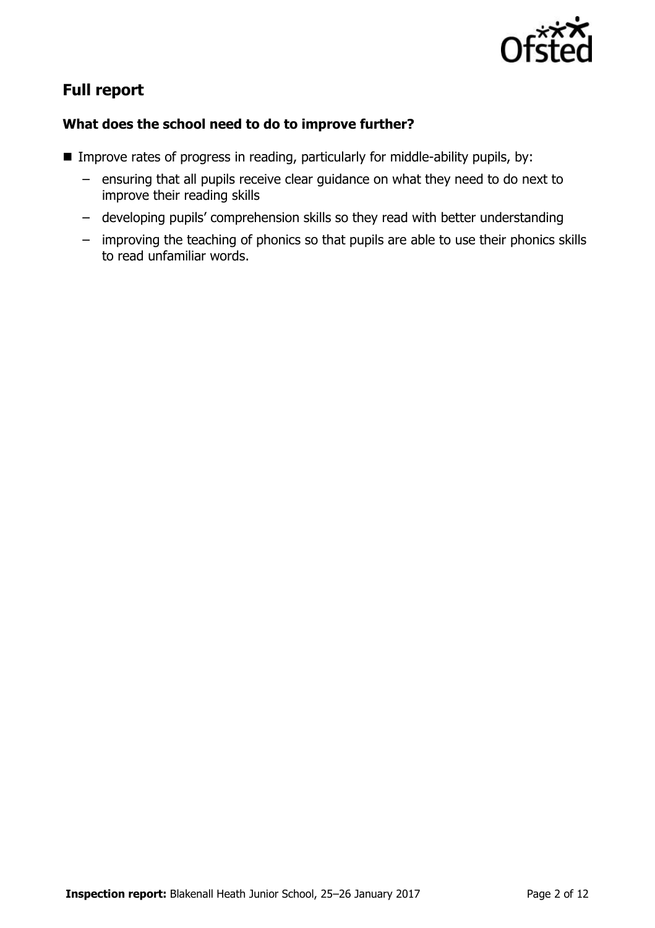

# **Full report**

### **What does the school need to do to improve further?**

- Improve rates of progress in reading, particularly for middle-ability pupils, by:
	- ensuring that all pupils receive clear guidance on what they need to do next to improve their reading skills
	- developing pupils' comprehension skills so they read with better understanding
	- improving the teaching of phonics so that pupils are able to use their phonics skills to read unfamiliar words.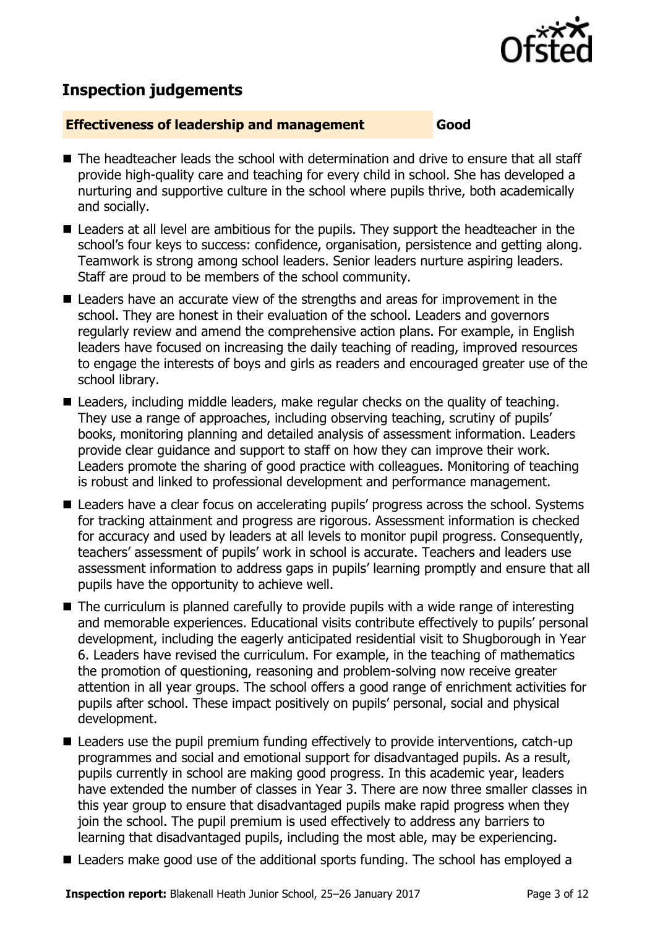

## **Inspection judgements**

#### **Effectiveness of leadership and management Good**

- The headteacher leads the school with determination and drive to ensure that all staff provide high-quality care and teaching for every child in school. She has developed a nurturing and supportive culture in the school where pupils thrive, both academically and socially.
- Leaders at all level are ambitious for the pupils. They support the headteacher in the school's four keys to success: confidence, organisation, persistence and getting along. Teamwork is strong among school leaders. Senior leaders nurture aspiring leaders. Staff are proud to be members of the school community.
- Leaders have an accurate view of the strengths and areas for improvement in the school. They are honest in their evaluation of the school. Leaders and governors regularly review and amend the comprehensive action plans. For example, in English leaders have focused on increasing the daily teaching of reading, improved resources to engage the interests of boys and girls as readers and encouraged greater use of the school library.
- Leaders, including middle leaders, make regular checks on the quality of teaching. They use a range of approaches, including observing teaching, scrutiny of pupils' books, monitoring planning and detailed analysis of assessment information. Leaders provide clear guidance and support to staff on how they can improve their work. Leaders promote the sharing of good practice with colleagues. Monitoring of teaching is robust and linked to professional development and performance management.
- Leaders have a clear focus on accelerating pupils' progress across the school. Systems for tracking attainment and progress are rigorous. Assessment information is checked for accuracy and used by leaders at all levels to monitor pupil progress. Consequently, teachers' assessment of pupils' work in school is accurate. Teachers and leaders use assessment information to address gaps in pupils' learning promptly and ensure that all pupils have the opportunity to achieve well.
- $\blacksquare$  The curriculum is planned carefully to provide pupils with a wide range of interesting and memorable experiences. Educational visits contribute effectively to pupils' personal development, including the eagerly anticipated residential visit to Shugborough in Year 6. Leaders have revised the curriculum. For example, in the teaching of mathematics the promotion of questioning, reasoning and problem-solving now receive greater attention in all year groups. The school offers a good range of enrichment activities for pupils after school. These impact positively on pupils' personal, social and physical development.
- Leaders use the pupil premium funding effectively to provide interventions, catch-up programmes and social and emotional support for disadvantaged pupils. As a result, pupils currently in school are making good progress. In this academic year, leaders have extended the number of classes in Year 3. There are now three smaller classes in this year group to ensure that disadvantaged pupils make rapid progress when they join the school. The pupil premium is used effectively to address any barriers to learning that disadvantaged pupils, including the most able, may be experiencing.
- Leaders make good use of the additional sports funding. The school has employed a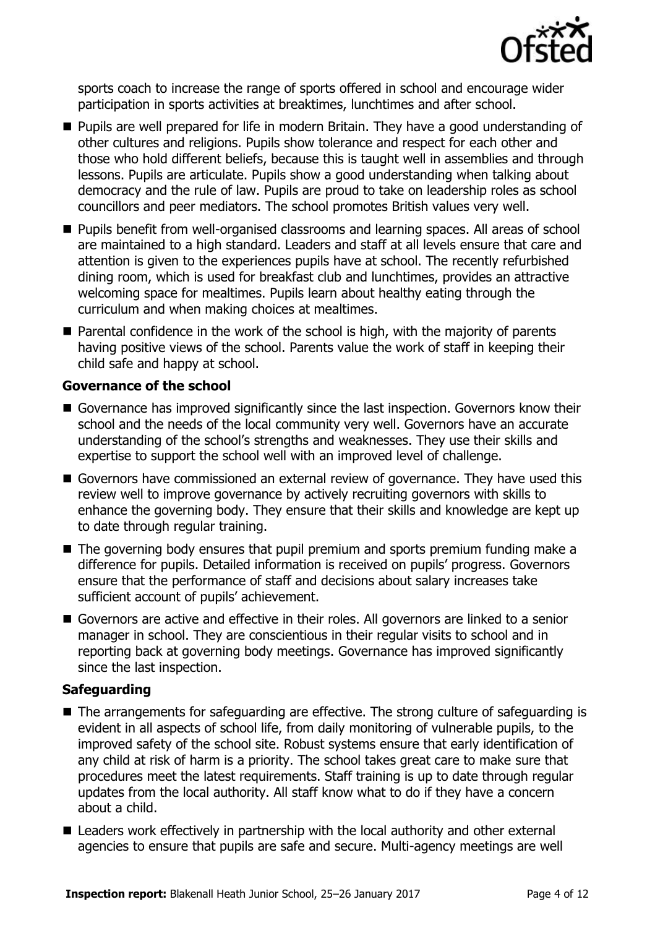

sports coach to increase the range of sports offered in school and encourage wider participation in sports activities at breaktimes, lunchtimes and after school.

- **Pupils are well prepared for life in modern Britain. They have a good understanding of** other cultures and religions. Pupils show tolerance and respect for each other and those who hold different beliefs, because this is taught well in assemblies and through lessons. Pupils are articulate. Pupils show a good understanding when talking about democracy and the rule of law. Pupils are proud to take on leadership roles as school councillors and peer mediators. The school promotes British values very well.
- Pupils benefit from well-organised classrooms and learning spaces. All areas of school are maintained to a high standard. Leaders and staff at all levels ensure that care and attention is given to the experiences pupils have at school. The recently refurbished dining room, which is used for breakfast club and lunchtimes, provides an attractive welcoming space for mealtimes. Pupils learn about healthy eating through the curriculum and when making choices at mealtimes.
- Parental confidence in the work of the school is high, with the majority of parents having positive views of the school. Parents value the work of staff in keeping their child safe and happy at school.

#### **Governance of the school**

- Governance has improved significantly since the last inspection. Governors know their school and the needs of the local community very well. Governors have an accurate understanding of the school's strengths and weaknesses. They use their skills and expertise to support the school well with an improved level of challenge.
- Governors have commissioned an external review of governance. They have used this review well to improve governance by actively recruiting governors with skills to enhance the governing body. They ensure that their skills and knowledge are kept up to date through regular training.
- The governing body ensures that pupil premium and sports premium funding make a difference for pupils. Detailed information is received on pupils' progress. Governors ensure that the performance of staff and decisions about salary increases take sufficient account of pupils' achievement.
- Governors are active and effective in their roles. All governors are linked to a senior manager in school. They are conscientious in their regular visits to school and in reporting back at governing body meetings. Governance has improved significantly since the last inspection.

#### **Safeguarding**

- The arrangements for safeguarding are effective. The strong culture of safeguarding is evident in all aspects of school life, from daily monitoring of vulnerable pupils, to the improved safety of the school site. Robust systems ensure that early identification of any child at risk of harm is a priority. The school takes great care to make sure that procedures meet the latest requirements. Staff training is up to date through regular updates from the local authority. All staff know what to do if they have a concern about a child.
- Leaders work effectively in partnership with the local authority and other external agencies to ensure that pupils are safe and secure. Multi-agency meetings are well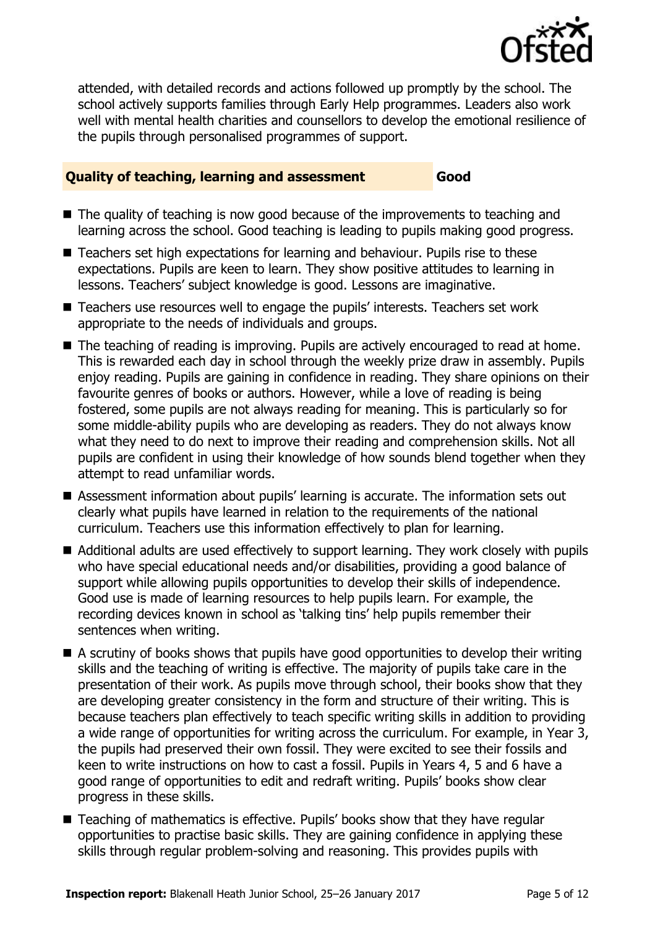

attended, with detailed records and actions followed up promptly by the school. The school actively supports families through Early Help programmes. Leaders also work well with mental health charities and counsellors to develop the emotional resilience of the pupils through personalised programmes of support.

#### **Quality of teaching, learning and assessment Good**

- The quality of teaching is now good because of the improvements to teaching and learning across the school. Good teaching is leading to pupils making good progress.
- Teachers set high expectations for learning and behaviour. Pupils rise to these expectations. Pupils are keen to learn. They show positive attitudes to learning in lessons. Teachers' subject knowledge is good. Lessons are imaginative.
- Teachers use resources well to engage the pupils' interests. Teachers set work appropriate to the needs of individuals and groups.
- The teaching of reading is improving. Pupils are actively encouraged to read at home. This is rewarded each day in school through the weekly prize draw in assembly. Pupils enjoy reading. Pupils are gaining in confidence in reading. They share opinions on their favourite genres of books or authors. However, while a love of reading is being fostered, some pupils are not always reading for meaning. This is particularly so for some middle-ability pupils who are developing as readers. They do not always know what they need to do next to improve their reading and comprehension skills. Not all pupils are confident in using their knowledge of how sounds blend together when they attempt to read unfamiliar words.
- Assessment information about pupils' learning is accurate. The information sets out clearly what pupils have learned in relation to the requirements of the national curriculum. Teachers use this information effectively to plan for learning.
- Additional adults are used effectively to support learning. They work closely with pupils who have special educational needs and/or disabilities, providing a good balance of support while allowing pupils opportunities to develop their skills of independence. Good use is made of learning resources to help pupils learn. For example, the recording devices known in school as 'talking tins' help pupils remember their sentences when writing.
- A scrutiny of books shows that pupils have good opportunities to develop their writing skills and the teaching of writing is effective. The majority of pupils take care in the presentation of their work. As pupils move through school, their books show that they are developing greater consistency in the form and structure of their writing. This is because teachers plan effectively to teach specific writing skills in addition to providing a wide range of opportunities for writing across the curriculum. For example, in Year 3, the pupils had preserved their own fossil. They were excited to see their fossils and keen to write instructions on how to cast a fossil. Pupils in Years 4, 5 and 6 have a good range of opportunities to edit and redraft writing. Pupils' books show clear progress in these skills.
- Teaching of mathematics is effective. Pupils' books show that they have regular opportunities to practise basic skills. They are gaining confidence in applying these skills through regular problem-solving and reasoning. This provides pupils with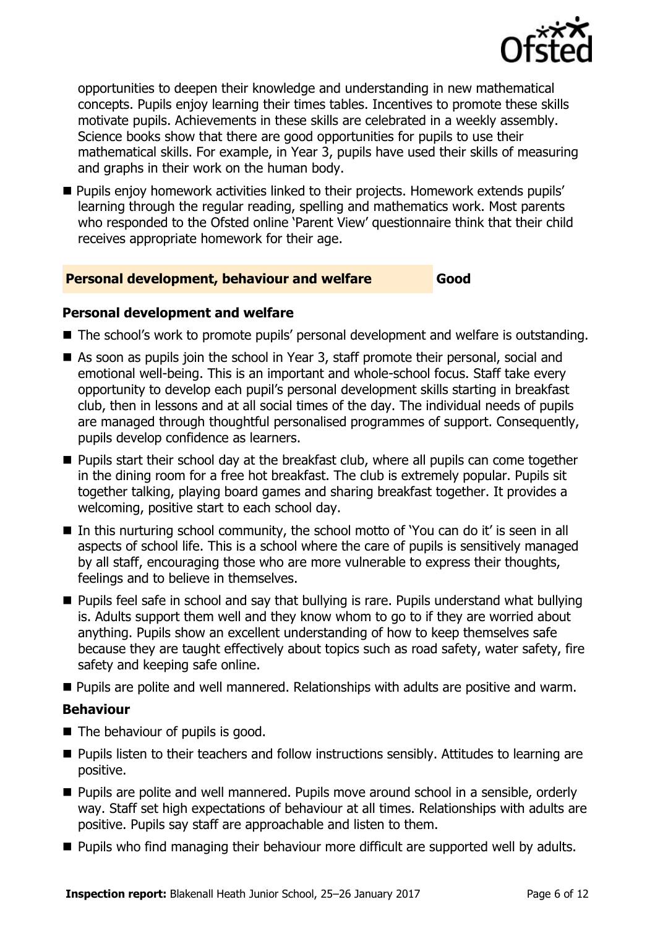

opportunities to deepen their knowledge and understanding in new mathematical concepts. Pupils enjoy learning their times tables. Incentives to promote these skills motivate pupils. Achievements in these skills are celebrated in a weekly assembly. Science books show that there are good opportunities for pupils to use their mathematical skills. For example, in Year 3, pupils have used their skills of measuring and graphs in their work on the human body.

**Pupils enjoy homework activities linked to their projects. Homework extends pupils'** learning through the regular reading, spelling and mathematics work. Most parents who responded to the Ofsted online 'Parent View' questionnaire think that their child receives appropriate homework for their age.

#### **Personal development, behaviour and welfare Good**

#### **Personal development and welfare**

- The school's work to promote pupils' personal development and welfare is outstanding.
- As soon as pupils join the school in Year 3, staff promote their personal, social and emotional well-being. This is an important and whole-school focus. Staff take every opportunity to develop each pupil's personal development skills starting in breakfast club, then in lessons and at all social times of the day. The individual needs of pupils are managed through thoughtful personalised programmes of support. Consequently, pupils develop confidence as learners.
- **Pupils start their school day at the breakfast club, where all pupils can come together** in the dining room for a free hot breakfast. The club is extremely popular. Pupils sit together talking, playing board games and sharing breakfast together. It provides a welcoming, positive start to each school day.
- In this nurturing school community, the school motto of 'You can do it' is seen in all aspects of school life. This is a school where the care of pupils is sensitively managed by all staff, encouraging those who are more vulnerable to express their thoughts, feelings and to believe in themselves.
- **Pupils feel safe in school and say that bullying is rare. Pupils understand what bullying** is. Adults support them well and they know whom to go to if they are worried about anything. Pupils show an excellent understanding of how to keep themselves safe because they are taught effectively about topics such as road safety, water safety, fire safety and keeping safe online.
- **Pupils are polite and well mannered. Relationships with adults are positive and warm.**

#### **Behaviour**

- The behaviour of pupils is good.
- **Pupils listen to their teachers and follow instructions sensibly. Attitudes to learning are** positive.
- **Pupils are polite and well mannered. Pupils move around school in a sensible, orderly** way. Staff set high expectations of behaviour at all times. Relationships with adults are positive. Pupils say staff are approachable and listen to them.
- **Pupils who find managing their behaviour more difficult are supported well by adults.**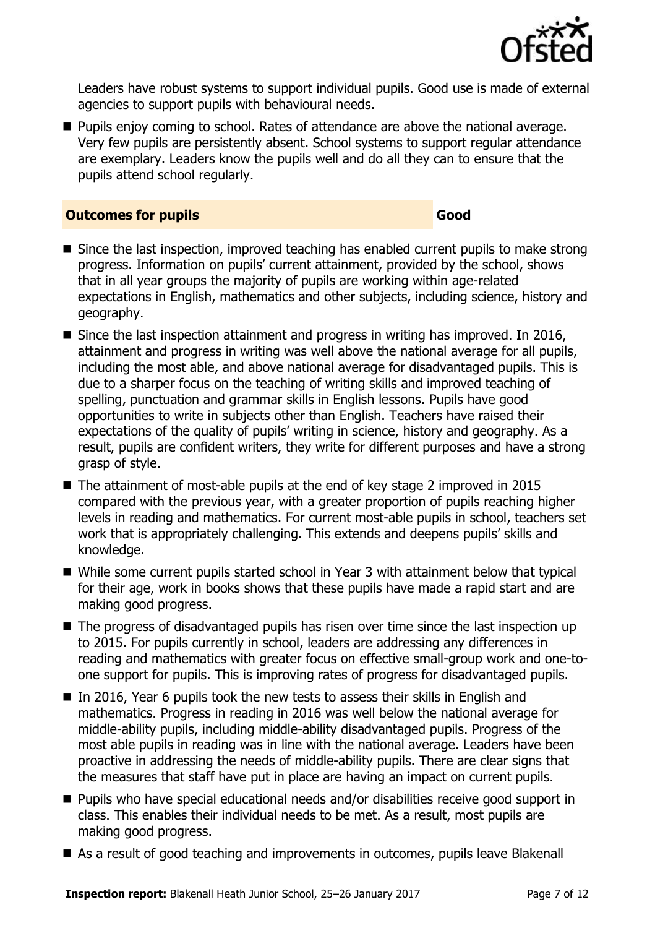

Leaders have robust systems to support individual pupils. Good use is made of external agencies to support pupils with behavioural needs.

**Pupils enjoy coming to school. Rates of attendance are above the national average.** Very few pupils are persistently absent. School systems to support regular attendance are exemplary. Leaders know the pupils well and do all they can to ensure that the pupils attend school regularly.

#### **Outcomes for pupils Good Good**

- Since the last inspection, improved teaching has enabled current pupils to make strong progress. Information on pupils' current attainment, provided by the school, shows that in all year groups the majority of pupils are working within age-related expectations in English, mathematics and other subjects, including science, history and geography.
- Since the last inspection attainment and progress in writing has improved. In 2016, attainment and progress in writing was well above the national average for all pupils, including the most able, and above national average for disadvantaged pupils. This is due to a sharper focus on the teaching of writing skills and improved teaching of spelling, punctuation and grammar skills in English lessons. Pupils have good opportunities to write in subjects other than English. Teachers have raised their expectations of the quality of pupils' writing in science, history and geography. As a result, pupils are confident writers, they write for different purposes and have a strong grasp of style.
- The attainment of most-able pupils at the end of key stage 2 improved in 2015 compared with the previous year, with a greater proportion of pupils reaching higher levels in reading and mathematics. For current most-able pupils in school, teachers set work that is appropriately challenging. This extends and deepens pupils' skills and knowledge.
- While some current pupils started school in Year 3 with attainment below that typical for their age, work in books shows that these pupils have made a rapid start and are making good progress.
- The progress of disadvantaged pupils has risen over time since the last inspection up to 2015. For pupils currently in school, leaders are addressing any differences in reading and mathematics with greater focus on effective small-group work and one-toone support for pupils. This is improving rates of progress for disadvantaged pupils.
- $\blacksquare$  In 2016, Year 6 pupils took the new tests to assess their skills in English and mathematics. Progress in reading in 2016 was well below the national average for middle-ability pupils, including middle-ability disadvantaged pupils. Progress of the most able pupils in reading was in line with the national average. Leaders have been proactive in addressing the needs of middle-ability pupils. There are clear signs that the measures that staff have put in place are having an impact on current pupils.
- Pupils who have special educational needs and/or disabilities receive good support in class. This enables their individual needs to be met. As a result, most pupils are making good progress.
- As a result of good teaching and improvements in outcomes, pupils leave Blakenall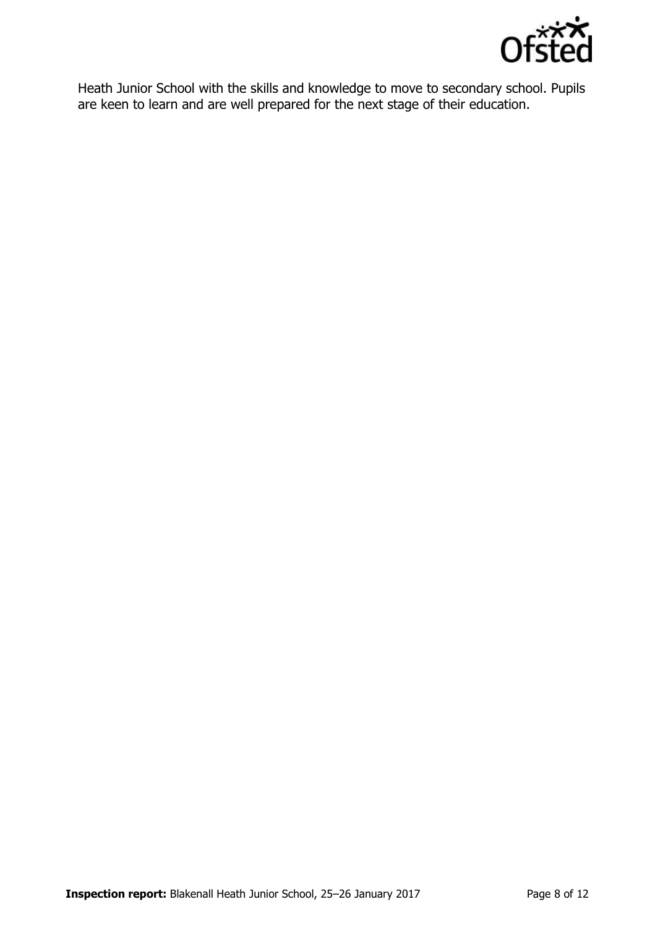

Heath Junior School with the skills and knowledge to move to secondary school. Pupils are keen to learn and are well prepared for the next stage of their education.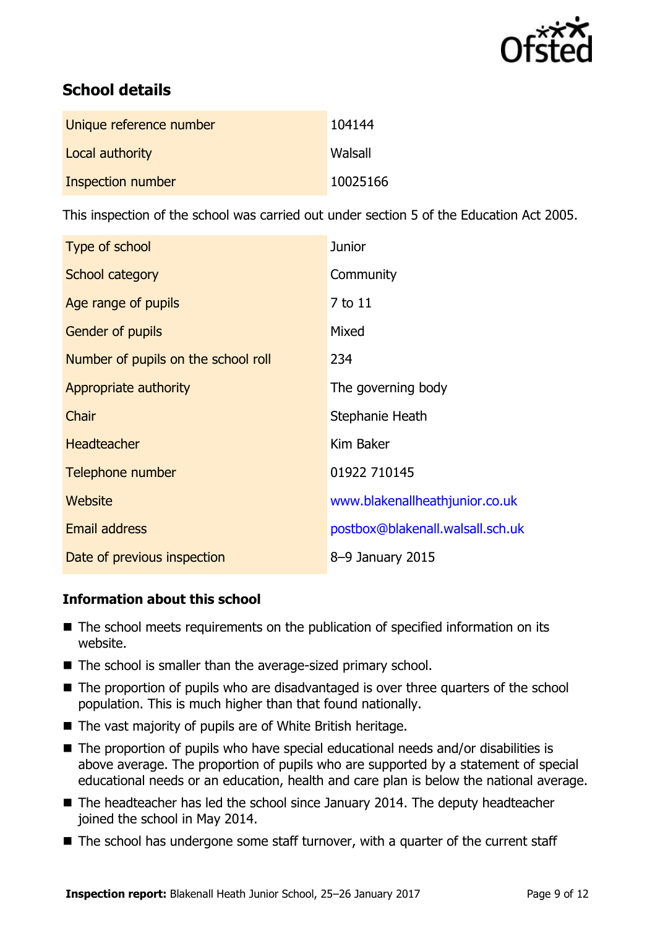

# **School details**

| Unique reference number | 104144   |
|-------------------------|----------|
| Local authority         | Walsall  |
| Inspection number       | 10025166 |

This inspection of the school was carried out under section 5 of the Education Act 2005.

| Type of school                      | <b>Junior</b>                    |
|-------------------------------------|----------------------------------|
| School category                     | Community                        |
| Age range of pupils                 | 7 to 11                          |
| <b>Gender of pupils</b>             | Mixed                            |
| Number of pupils on the school roll | 234                              |
| Appropriate authority               | The governing body               |
| Chair                               | Stephanie Heath                  |
| <b>Headteacher</b>                  | Kim Baker                        |
| Telephone number                    | 01922 710145                     |
| Website                             | www.blakenallheathjunior.co.uk   |
| <b>Email address</b>                | postbox@blakenall.walsall.sch.uk |
| Date of previous inspection         | 8-9 January 2015                 |

#### **Information about this school**

- The school meets requirements on the publication of specified information on its website.
- The school is smaller than the average-sized primary school.
- The proportion of pupils who are disadvantaged is over three quarters of the school population. This is much higher than that found nationally.
- The vast majority of pupils are of White British heritage.
- The proportion of pupils who have special educational needs and/or disabilities is above average. The proportion of pupils who are supported by a statement of special educational needs or an education, health and care plan is below the national average.
- The headteacher has led the school since January 2014. The deputy headteacher joined the school in May 2014.
- $\blacksquare$  The school has undergone some staff turnover, with a quarter of the current staff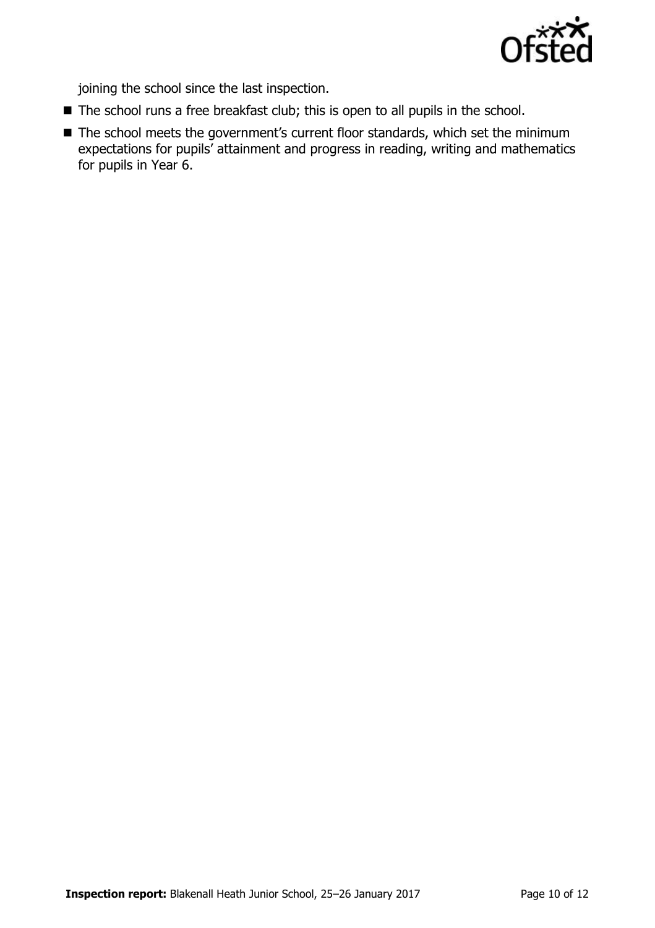

joining the school since the last inspection.

- The school runs a free breakfast club; this is open to all pupils in the school.
- The school meets the government's current floor standards, which set the minimum expectations for pupils' attainment and progress in reading, writing and mathematics for pupils in Year 6.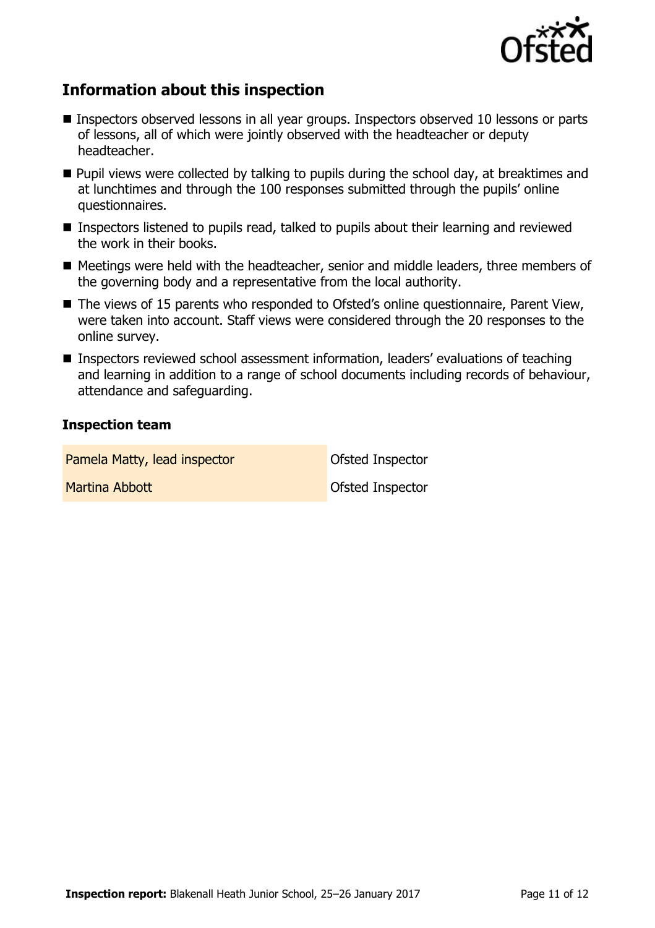

# **Information about this inspection**

- Inspectors observed lessons in all year groups. Inspectors observed 10 lessons or parts of lessons, all of which were jointly observed with the headteacher or deputy headteacher.
- **Pupil views were collected by talking to pupils during the school day, at breaktimes and** at lunchtimes and through the 100 responses submitted through the pupils' online questionnaires.
- Inspectors listened to pupils read, talked to pupils about their learning and reviewed the work in their books.
- Meetings were held with the headteacher, senior and middle leaders, three members of the governing body and a representative from the local authority.
- The views of 15 parents who responded to Ofsted's online questionnaire, Parent View, were taken into account. Staff views were considered through the 20 responses to the online survey.
- Inspectors reviewed school assessment information, leaders' evaluations of teaching and learning in addition to a range of school documents including records of behaviour, attendance and safeguarding.

#### **Inspection team**

Pamela Matty, lead inspector **Constanting Constanting Pamela Matty**, lead inspector **Martina Abbott Ofsted Inspector**